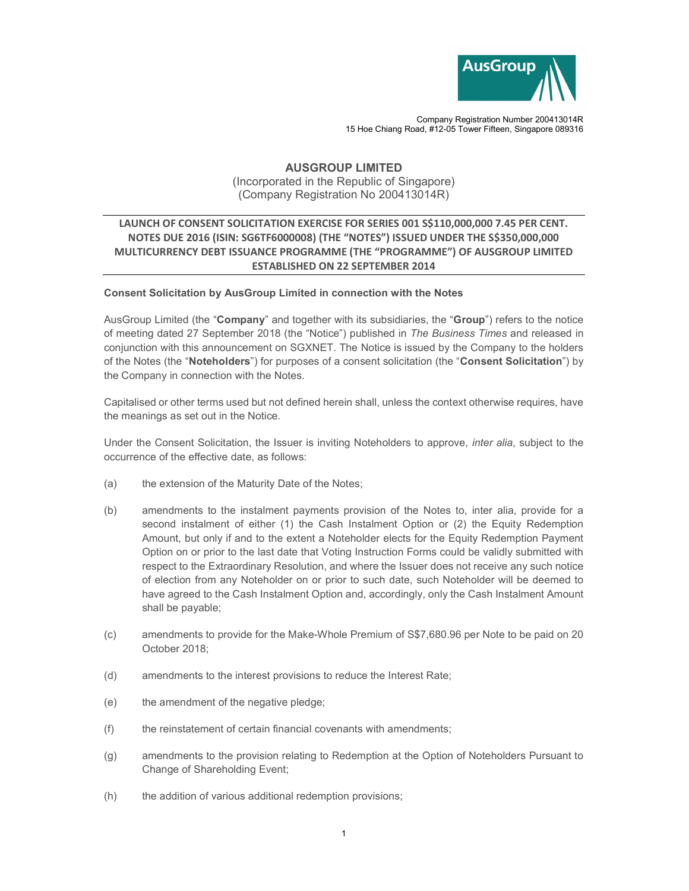

Company Registration Number 200413014R 15 Hoe Chiang Road, #12-05 Tower Fifteen, Singapore 089316

## AUSGROUP LIMITED (Incorporated in the Republic of Singapore) (Company Registration No 200413014R)

## LAUNCH OF CONSENT SOLICITATION EXERCISE FOR SERIES 001 S\$110,000,000 7.45 PER CENT. NOTES DUE 2016 (ISIN: SG6TF6000008) (THE "NOTES") ISSUED UNDER THE S\$350,000,000 MULTICURRENCY DEBT ISSUANCE PROGRAMME (THE "PROGRAMME") OF AUSGROUP LIMITED ESTABLISHED ON 22 SEPTEMBER 2014

## Consent Solicitation by AusGroup Limited in connection with the Notes

AusGroup Limited (the "Company" and together with its subsidiaries, the "Group") refers to the notice of meeting dated 27 September 2018 (the "Notice") published in The Business Times and released in conjunction with this announcement on SGXNET. The Notice is issued by the Company to the holders of the Notes (the "Noteholders") for purposes of a consent solicitation (the "Consent Solicitation") by the Company in connection with the Notes.

Capitalised or other terms used but not defined herein shall, unless the context otherwise requires, have the meanings as set out in the Notice.

Under the Consent Solicitation, the Issuer is inviting Noteholders to approve, inter alia, subject to the occurrence of the effective date, as follows:

- (a) the extension of the Maturity Date of the Notes;
- (b) amendments to the instalment payments provision of the Notes to, inter alia, provide for a second instalment of either (1) the Cash Instalment Option or (2) the Equity Redemption Amount, but only if and to the extent a Noteholder elects for the Equity Redemption Payment Option on or prior to the last date that Voting Instruction Forms could be validly submitted with respect to the Extraordinary Resolution, and where the Issuer does not receive any such notice of election from any Noteholder on or prior to such date, such Noteholder will be deemed to have agreed to the Cash Instalment Option and, accordingly, only the Cash Instalment Amount shall be payable;
- (c) amendments to provide for the Make-Whole Premium of S\$7,680.96 per Note to be paid on 20 October 2018;
- (d) amendments to the interest provisions to reduce the Interest Rate;
- (e) the amendment of the negative pledge;
- (f) the reinstatement of certain financial covenants with amendments;
- (g) amendments to the provision relating to Redemption at the Option of Noteholders Pursuant to Change of Shareholding Event;
- (h) the addition of various additional redemption provisions;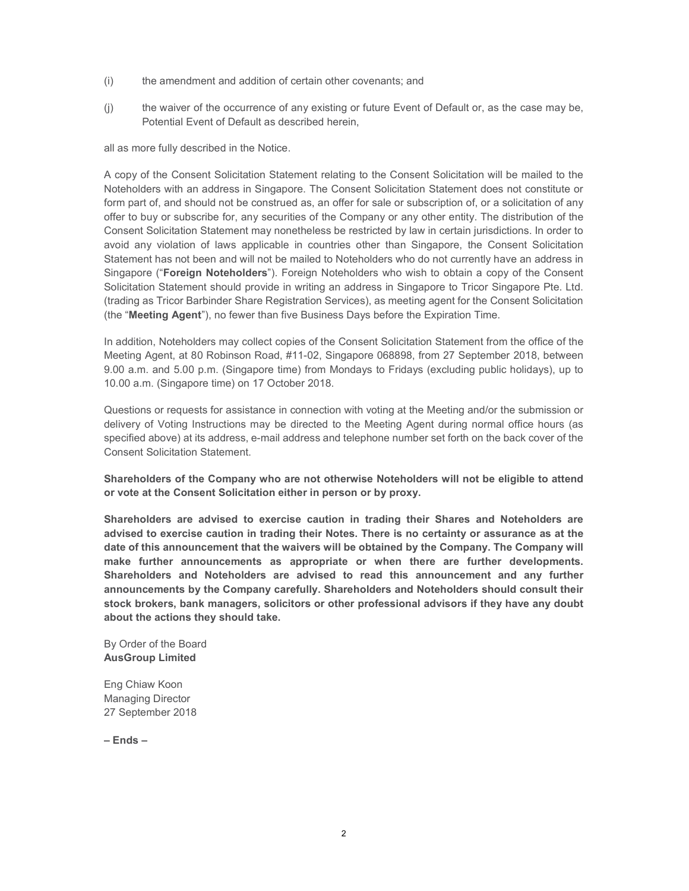- (i) the amendment and addition of certain other covenants; and
- (j) the waiver of the occurrence of any existing or future Event of Default or, as the case may be, Potential Event of Default as described herein,

all as more fully described in the Notice.

A copy of the Consent Solicitation Statement relating to the Consent Solicitation will be mailed to the Noteholders with an address in Singapore. The Consent Solicitation Statement does not constitute or form part of, and should not be construed as, an offer for sale or subscription of, or a solicitation of any offer to buy or subscribe for, any securities of the Company or any other entity. The distribution of the Consent Solicitation Statement may nonetheless be restricted by law in certain jurisdictions. In order to avoid any violation of laws applicable in countries other than Singapore, the Consent Solicitation Statement has not been and will not be mailed to Noteholders who do not currently have an address in Singapore ("Foreign Noteholders"). Foreign Noteholders who wish to obtain a copy of the Consent Solicitation Statement should provide in writing an address in Singapore to Tricor Singapore Pte. Ltd. (trading as Tricor Barbinder Share Registration Services), as meeting agent for the Consent Solicitation (the "Meeting Agent"), no fewer than five Business Days before the Expiration Time.

In addition, Noteholders may collect copies of the Consent Solicitation Statement from the office of the Meeting Agent, at 80 Robinson Road, #11-02, Singapore 068898, from 27 September 2018, between 9.00 a.m. and 5.00 p.m. (Singapore time) from Mondays to Fridays (excluding public holidays), up to 10.00 a.m. (Singapore time) on 17 October 2018.

Questions or requests for assistance in connection with voting at the Meeting and/or the submission or delivery of Voting Instructions may be directed to the Meeting Agent during normal office hours (as specified above) at its address, e-mail address and telephone number set forth on the back cover of the Consent Solicitation Statement.

Shareholders of the Company who are not otherwise Noteholders will not be eligible to attend or vote at the Consent Solicitation either in person or by proxy.

Shareholders are advised to exercise caution in trading their Shares and Noteholders are advised to exercise caution in trading their Notes. There is no certainty or assurance as at the date of this announcement that the waivers will be obtained by the Company. The Company will make further announcements as appropriate or when there are further developments. Shareholders and Noteholders are advised to read this announcement and any further announcements by the Company carefully. Shareholders and Noteholders should consult their stock brokers, bank managers, solicitors or other professional advisors if they have any doubt about the actions they should take.

By Order of the Board AusGroup Limited

Eng Chiaw Koon Managing Director 27 September 2018

– Ends –